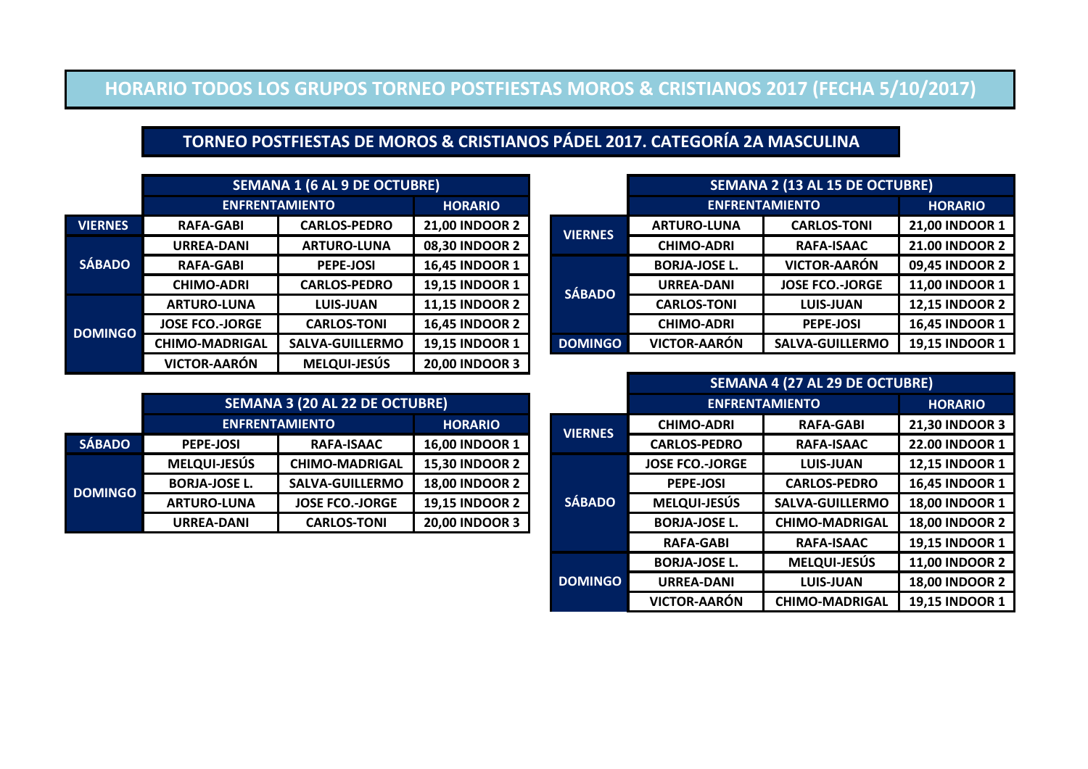#### **HORARIO TODOS LOS GRUPOS TORNEO POSTFIESTAS MOROS & CRISTIANOS 2017 (FECHA 5/10/2017)**

## **TORNEO POSTFIESTAS DE MOROS & CRISTIANOS PÁDEL 2017. CATEGORÍA 2A MASCULINA**

|                | <b>SEMANA 1 (6 AL 9 DE OCTUBRE)</b> |                        |                       |                      | <b>SEMANA 2 (13 AL 15 DE OCTUBRE)</b> |                        |                       |  |
|----------------|-------------------------------------|------------------------|-----------------------|----------------------|---------------------------------------|------------------------|-----------------------|--|
|                | <b>ENFRENTAMIENTO</b>               |                        | <b>HORARIO</b>        |                      |                                       | <b>ENFRENTAMIENTO</b>  |                       |  |
| <b>VIERNES</b> | <b>RAFA-GABI</b>                    | <b>CARLOS-PEDRO</b>    | <b>21,00 INDOOR 2</b> | <b>VIERNES</b>       | <b>ARTURO-LUNA</b>                    | <b>CARLOS-TONI</b>     | 21,00 INDOOR 1        |  |
|                | <b>URREA-DANI</b>                   | <b>ARTURO-LUNA</b>     | 08,30 INDOOR 2        |                      | <b>CHIMO-ADRI</b>                     | <b>RAFA-ISAAC</b>      | <b>21.00 INDOOR 2</b> |  |
| <b>SÁBADO</b>  | <b>RAFA-GABI</b>                    | <b>PEPE-JOSI</b>       | <b>16,45 INDOOR 1</b> | <b>BORJA-JOSE L.</b> | <b>VICTOR-AARÓN</b>                   | 09,45 INDOOR 2         |                       |  |
|                | <b>CHIMO-ADRI</b>                   | <b>CARLOS-PEDRO</b>    | <b>19,15 INDOOR 1</b> | <b>SÁBADO</b>        | <b>URREA-DANI</b>                     | <b>JOSE FCO.-JORGE</b> | 11,00 INDOOR 1        |  |
|                | <b>ARTURO-LUNA</b>                  | <b>LUIS-JUAN</b>       | <b>11,15 INDOOR 2</b> |                      | <b>CARLOS-TONI</b>                    | <b>LUIS-JUAN</b>       | <b>12,15 INDOOR 2</b> |  |
| <b>ODMINGO</b> | <b>JOSE FCO.-JORGE</b>              | <b>CARLOS-TONI</b>     | <b>16,45 INDOOR 2</b> |                      | <b>CHIMO-ADRI</b>                     | <b>PEPE-JOSI</b>       | <b>16,45 INDOOR 1</b> |  |
|                | <b>CHIMO-MADRIGAL</b>               | <b>SALVA-GUILLERMO</b> | <b>19,15 INDOOR 1</b> | <b>DOMINGO</b>       | <b>VICTOR-AARÓN</b>                   | <b>SALVA-GUILLERMO</b> | 19,15 INDOOR 1        |  |
|                |                                     |                        |                       |                      |                                       |                        |                       |  |

|                |                                                                       |                                       |                        |                  |                       | SEMANA 4 (27 AL 29 DE OCTUBRE) |                       |
|----------------|-----------------------------------------------------------------------|---------------------------------------|------------------------|------------------|-----------------------|--------------------------------|-----------------------|
|                |                                                                       | <b>SEMANA 3 (20 AL 22 DE OCTUBRE)</b> |                        |                  | <b>ENFRENTAMIENTO</b> |                                | <b>HORARIO</b>        |
|                | <b>ENFRENTAMIENTO</b>                                                 |                                       | <b>HORARIO</b>         | <b>VIERNES</b>   | <b>CHIMO-ADRI</b>     | <b>RAFA-GABI</b>               | 21,30 INDOOR 3        |
| SÁBADO         | <b>PEPE-JOSI</b>                                                      | <b>RAFA-ISAAC</b>                     | <b>16,00 INDOOR 1</b>  |                  | <b>CARLOS-PEDRO</b>   | <b>RAFA-ISAAC</b>              | <b>22.00 INDOOR 1</b> |
|                | <b>MELQUI-JESÚS</b><br><b>15,30 INDOOR 2</b><br><b>CHIMO-MADRIGAL</b> |                                       | <b>JOSE FCO.-JORGE</b> | <b>LUIS-JUAN</b> | 12,15 INDOOR 1        |                                |                       |
| <b>ODMINGO</b> | <b>BORJA-JOSE L.</b>                                                  | <b>SALVA-GUILLERMO</b>                | <b>18,00 INDOOR 2</b>  | <b>SÁBADO</b>    | <b>PEPE-JOSI</b>      | <b>CARLOS-PEDRO</b>            | 16,45 INDOOR 1        |
|                | <b>ARTURO-LUNA</b>                                                    | <b>JOSE FCO.-JORGE</b>                | <b>19,15 INDOOR 2</b>  |                  | <b>MELQUI-JESÚS</b>   | <b>SALVA-GUILLERMO</b>         | 18,00 INDOOR 1        |
|                | <b>URREA-DANI</b>                                                     | <b>CARLOS-TONI</b>                    | <b>20,00 INDOOR 3</b>  |                  | <b>BORJA-JOSE L.</b>  | <b>CHIMO-MADRIGAL</b>          | <b>18,00 INDOOR 2</b> |
|                |                                                                       |                                       |                        |                  | <b>RAFA-GABI</b>      | <b>RAFA-ISAAC</b>              | 19,15 INDOOR 1        |
|                |                                                                       |                                       |                        |                  | <b>BORJA-JOSE L.</b>  | <b>MELQUI-JESÚS</b>            | <b>11,00 INDOOR 2</b> |
|                |                                                                       |                                       |                        | <b>DOMINGO</b>   | <b>URREA-DANI</b>     | <b>LUIS-JUAN</b>               | <b>18,00 INDOOR 2</b> |
|                |                                                                       |                                       |                        |                  | <b>VICTOR-AARÓN</b>   | <b>CHIMO-MADRIGAL</b>          | 19,15 INDOOR 1        |

|                |                                          | <b>SEMANA 1 (6 AL 9 DE OCTUBRE)</b> |                       |  |                |                      | <b>SEMANA 2 (13 AI</b> |
|----------------|------------------------------------------|-------------------------------------|-----------------------|--|----------------|----------------------|------------------------|
|                |                                          | <b>ENFRENTAMIENTO</b>               | <b>HORARIO</b>        |  |                |                      | <b>ENFRENTAMIENTO</b>  |
| <b>VIERNES</b> | <b>RAFA-GABI</b>                         | <b>CARLOS-PEDRO</b>                 | <b>21,00 INDOOR 2</b> |  | <b>VIERNES</b> | <b>ARTURO-LUNA</b>   | <b>CARI</b>            |
|                | <b>URREA-DANI</b>                        | <b>ARTURO-LUNA</b>                  | 08,30 INDOOR 2        |  |                | <b>CHIMO-ADRI</b>    | <b>RAF</b>             |
| <b>SÁBADO</b>  | <b>RAFA-GABI</b>                         | <b>PEPE-JOSI</b>                    | <b>16,45 INDOOR 1</b> |  |                | <b>BORJA-JOSE L.</b> | <b>VICTO</b>           |
|                | <b>CARLOS-PEDRO</b><br><b>CHIMO-ADRI</b> |                                     | 19,15 INDOOR 1        |  | <b>SÁBADO</b>  | <b>URREA-DANI</b>    | <b>JOSE F</b>          |
|                | <b>ARTURO-LUNA</b>                       | <b>LUIS-JUAN</b>                    | <b>11,15 INDOOR 2</b> |  |                | <b>CARLOS-TONI</b>   | LUI                    |
| <b>DOMINGO</b> | <b>JOSE FCO.-JORGE</b>                   | <b>CARLOS-TONI</b>                  | <b>16,45 INDOOR 2</b> |  |                | <b>CHIMO-ADRI</b>    | PEI                    |
|                | <b>CHIMO-MADRIGAL</b>                    | <b>SALVA-GUILLERMO</b>              | 19,15 INDOOR 1        |  | <b>DOMINGO</b> | <b>VICTOR-AARÓN</b>  | <b>SALVA-</b>          |
|                | <b>VICTOR-AARÓN</b>                      | <b>MELQUI-JESÚS</b>                 | <b>20,00 INDOOR 3</b> |  |                |                      |                        |

|                |                                                                                                                                           | <b>SEMANA 3 (20 AL 22 DE OCTUBRE)</b> |                       |                        | <b>ENFRENTAMIENTO</b> |                      |               |
|----------------|-------------------------------------------------------------------------------------------------------------------------------------------|---------------------------------------|-----------------------|------------------------|-----------------------|----------------------|---------------|
|                | <b>ENFRENTAMIENTO</b>                                                                                                                     | <b>HORARIO</b>                        |                       | <b>VIERNES</b>         | <b>CHIMO-ADRI</b>     | <b>RAF</b>           |               |
| <b>SÁBADO</b>  | <b>PEPE-JOSI</b>                                                                                                                          | RAFA-ISAAC                            | <b>16,00 INDOOR 1</b> |                        |                       | <b>CARLOS-PEDRO</b>  | <b>RAF</b>    |
| <b>DOMINGO</b> | <b>MELQUI-JESÚS</b><br><b>15,30 INDOOR 2</b><br><b>CHIMO-MADRIGAL</b><br>SALVA-GUILLERMO<br><b>18,00 INDOOR 2</b><br><b>BORJA-JOSE L.</b> |                                       |                       | <b>JOSE FCO.-JORGE</b> | LUI                   |                      |               |
|                |                                                                                                                                           |                                       |                       | <b>PEPE-JOSI</b>       | <b>CARL</b>           |                      |               |
|                | <b>JOSE FCO.-JORGE</b><br><b>ARTURO-LUNA</b>                                                                                              |                                       | <b>19,15 INDOOR 2</b> |                        | <b>SÁBADO</b>         | <b>MELQUI-JESÚS</b>  | <b>SALVA-</b> |
|                | <b>CARLOS-TONI</b><br><b>URREA-DANI</b>                                                                                                   |                                       | <b>20,00 INDOOR 3</b> |                        |                       | <b>BORJA-JOSE L.</b> | <b>CHIMO</b>  |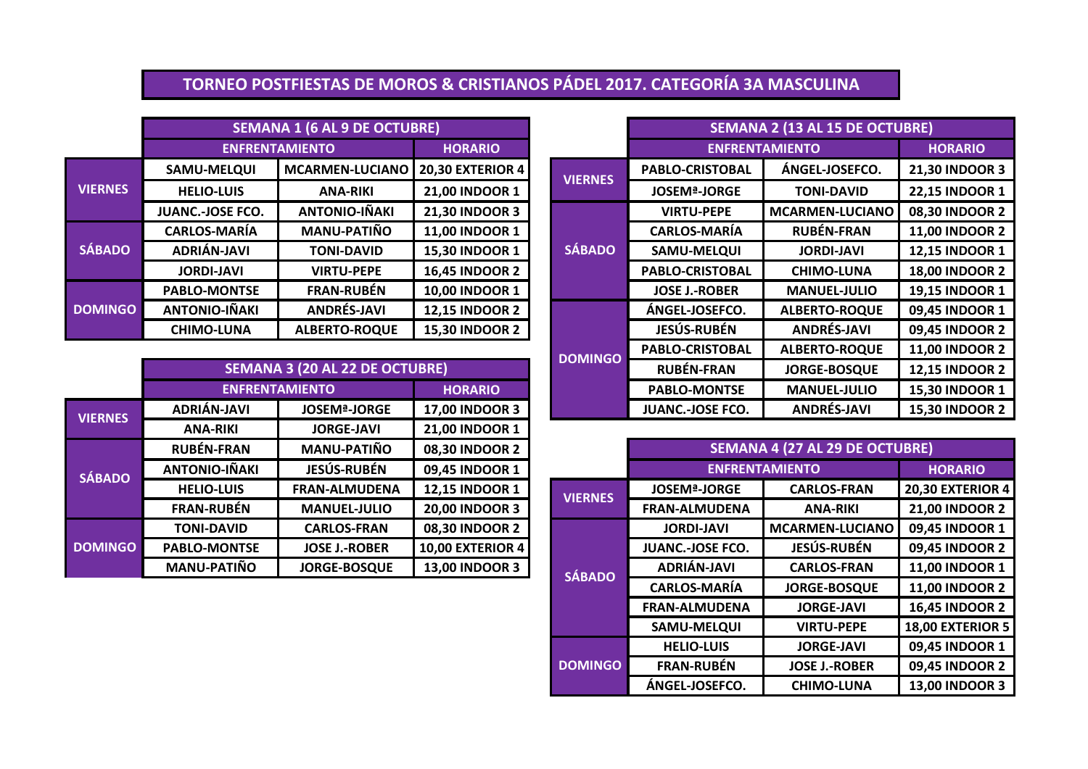# **TORNEO POSTFIESTAS DE MOROS & CRISTIANOS PÁDEL 2017. CATEGORÍA 3A MASCULINA**

|                |                                                                     | <b>SEMANA 1 (6 AL 9 DE OCTUBRE)</b> |                         |                |                |                                | <b>SEMANA 2 (13 AI</b> |
|----------------|---------------------------------------------------------------------|-------------------------------------|-------------------------|----------------|----------------|--------------------------------|------------------------|
|                |                                                                     | <b>ENFRENTAMIENTO</b>               | <b>HORARIO</b>          |                |                | <b>ENFRENTAMIENTO</b>          |                        |
|                | SAMU-MELQUI                                                         | <b>MCARMEN-LUCIANO</b>              | <b>20,30 EXTERIOR 4</b> |                | <b>VIERNES</b> | <b>PABLO-CRISTOBAL</b>         | ÁNGEI                  |
| <b>VIERNES</b> | <b>HELIO-LUIS</b>                                                   | <b>ANA-RIKI</b>                     | 21,00 INDOOR 1          |                |                | <b>JOSEM<sup>ª</sup>-JORGE</b> | <b>TON</b>             |
|                | <b>JUANC.-JOSE FCO.</b>                                             | <b>ANTONIO-IÑAKI</b>                | 21,30 INDOOR 3          |                |                | <b>VIRTU-PEPE</b>              | <b>MCARM</b>           |
|                | <b>MANU-PATIÑO</b><br><b>CARLOS-MARÍA</b>                           |                                     | 11,00 INDOOR 1          |                |                | <b>CARLOS-MARÍA</b>            | <b>RUB</b>             |
| <b>SÁBADO</b>  | ADRIÁN-JAVI                                                         | <b>TONI-DAVID</b>                   | 15,30 INDOOR 1          |                | <b>SÁBADO</b>  | <b>SAMU-MELQUI</b>             | <b>JOR</b>             |
|                | <b>JORDI-JAVI</b>                                                   | <b>VIRTU-PEPE</b>                   | <b>16,45 INDOOR 2</b>   |                |                | <b>PABLO-CRISTOBAL</b>         | <b>CHIN</b>            |
|                | <b>PABLO-MONTSE</b>                                                 | <b>FRAN-RUBÉN</b>                   | 10,00 INDOOR 1          |                |                | <b>JOSE J.-ROBER</b>           | <b>MAN</b>             |
| <b>DOMINGO</b> | <b>ANTONIO-IÑAKI</b><br><b>ANDRÉS-JAVI</b><br><b>12,15 INDOOR 2</b> |                                     |                         | ÁNGEL-JOSEFCO. | <b>ALBER</b>   |                                |                        |
|                | <b>CHIMO-LUNA</b>                                                   | <b>ALBERTO-ROQUE</b>                | <b>15,30 INDOOR 2</b>   |                |                | <b>JESÚS-RUBÉN</b>             | <b>AND</b>             |

|                |                                       |                                |                       | <b>DOMINGO</b> |
|----------------|---------------------------------------|--------------------------------|-----------------------|----------------|
|                | <b>SEMANA 3 (20 AL 22 DE OCTUBRE)</b> |                                |                       |                |
|                |                                       | <b>ENFRENTAMIENTO</b>          | <b>HORARIO</b>        |                |
| <b>VIERNES</b> | ADRIÁN-JAVI                           | <b>JOSEM<sup>ª</sup>-JORGE</b> | 17,00 INDOOR 3        |                |
|                | <b>ANA-RIKI</b>                       | <b>JORGE-JAVI</b>              | 21,00 INDOOR 1        |                |
|                | <b>RUBÉN-FRAN</b>                     | <b>MANU-PATIÑO</b>             | 08,30 INDOOR 2        |                |
| <b>SÁBADO</b>  | <b>ANTONIO-IÑAKI</b>                  | <b>JESÚS-RUBÉN</b>             | 09,45 INDOOR 1        |                |
|                | <b>HELIO-LUIS</b>                     | <b>FRAN-ALMUDENA</b>           | 12,15 INDOOR 1        | <b>VIERNES</b> |
|                | <b>FRAN-RUBÉN</b>                     | <b>MANUEL-JULIO</b>            | <b>20,00 INDOOR 3</b> |                |
| <b>DOMINGO</b> | <b>TONI-DAVID</b>                     | <b>CARLOS-FRAN</b>             | 08,30 INDOOR 2        |                |
|                | <b>PABLO-MONTSE</b>                   | <b>JOSE J.-ROBER</b>           | 10,00 EXTERIOR 4      |                |
|                | <b>MANU-PATIÑO</b>                    | <b>JORGE-BOSQUE</b>            | <b>13,00 INDOOR 3</b> | ------         |

|                                         | <b>SEMANA 1 (6 AL 9 DE OCTUBRE)</b> |                         |                | <b>SEMANA 2 (13 AL 15 DE OCTUBRE)</b> |                      |                       |
|-----------------------------------------|-------------------------------------|-------------------------|----------------|---------------------------------------|----------------------|-----------------------|
|                                         | <b>ENFRENTAMIENTO</b>               | <b>HORARIO</b>          |                | <b>ENFRENTAMIENTO</b>                 | <b>HORARIO</b>       |                       |
| <b>SAMU-MELQUI</b>                      | <b>MCARMEN-LUCIANO</b>              | <b>20,30 EXTERIOR 4</b> | <b>VIERNES</b> | <b>PABLO-CRISTOBAL</b>                | ÁNGEL-JOSEFCO.       | 21,30 INDOOR 3        |
| <b>HELIO-LUIS</b>                       | <b>ANA-RIKI</b>                     | 21,00 INDOOR 1          |                | <b>JOSEM<sup>ª</sup>-JORGE</b>        | <b>TONI-DAVID</b>    | <b>22,15 INDOOR 1</b> |
| JUANC.-JOSE FCO.                        | <b>ANTONIO-IÑAKI</b>                | 21,30 INDOOR 3          |                | <b>VIRTU-PEPE</b>                     | MCARMEN-LUCIANO      | 08,30 INDOOR 2        |
| <b>CARLOS-MARÍA</b>                     | <b>MANU-PATIÑO</b>                  | 11,00 INDOOR 1          |                | <b>CARLOS-MARÍA</b>                   | <b>RUBÉN-FRAN</b>    | <b>11,00 INDOOR 2</b> |
| ADRIÁN-JAVI                             | <b>TONI-DAVID</b>                   | 15,30 INDOOR 1          | <b>SÁBADO</b>  | <b>SAMU-MELQUI</b>                    | <b>JORDI-JAVI</b>    | 12,15 INDOOR 1        |
| <b>JORDI-JAVI</b>                       | <b>VIRTU-PEPE</b>                   | <b>16,45 INDOOR 2</b>   |                | <b>PABLO-CRISTOBAL</b>                | <b>CHIMO-LUNA</b>    | <b>18,00 INDOOR 2</b> |
| <b>PABLO-MONTSE</b>                     | <b>FRAN-RUBÉN</b>                   | 10,00 INDOOR 1          |                | <b>JOSE J.-ROBER</b>                  | <b>MANUEL-JULIO</b>  | 19,15 INDOOR 1        |
| <b>ANTONIO-IÑAKI</b>                    | <b>ANDRÉS-JAVI</b>                  | <b>12,15 INDOOR 2</b>   |                | ÁNGEL-JOSEFCO.                        | <b>ALBERTO-ROQUE</b> | 09,45 INDOOR 1        |
| <b>CHIMO-LUNA</b>                       | <b>ALBERTO-ROQUE</b>                | <b>15,30 INDOOR 2</b>   |                | <b>JESÚS-RUBÉN</b>                    | <b>ANDRÉS-JAVI</b>   | 09,45 INDOOR 2        |
|                                         |                                     |                         | <b>DOMINGO</b> | <b>PABLO-CRISTOBAL</b>                | <b>ALBERTO-ROQUE</b> | <b>11,00 INDOOR 2</b> |
| <b>SEMANA 3 (20 AL 22 DE OCTUBRE)</b>   |                                     |                         |                | <b>RUBÉN-FRAN</b>                     | <b>JORGE-BOSQUE</b>  | <b>12,15 INDOOR 2</b> |
| <b>ENFRENTAMIENTO</b><br><b>HORARIO</b> |                                     |                         |                | <b>PABLO-MONTSE</b>                   | <b>MANUEL-JULIO</b>  | 15,30 INDOOR 1        |
| <b>ADRIÁN-JAVI</b>                      | <b>JOSEM<sup>ª</sup>-JORGE</b>      | <b>17,00 INDOOR 3</b>   |                | <b>JUANC.-JOSE FCO.</b>               | <b>ANDRÉS-JAVI</b>   | <b>15,30 INDOOR 2</b> |

| <b>RUBÉN-FRAN</b>   | <b>MANU-PATIÑO</b>   | 08,30 INDOOR 2          |                |                | <b>SEMANA 4 (27 AL 29 DE OCTUBRE)</b> |                        |                         |
|---------------------|----------------------|-------------------------|----------------|----------------|---------------------------------------|------------------------|-------------------------|
| ANTONIO-IÑAKI       | <b>JESÚS-RUBÉN</b>   | 09,45 INDOOR 1          |                |                |                                       | <b>ENFRENTAMIENTO</b>  | <b>HORARIO</b>          |
| <b>HELIO-LUIS</b>   | <b>FRAN-ALMUDENA</b> | <b>12,15 INDOOR 1</b>   | <b>VIERNES</b> |                | <b>JOSEM<sup>ª</sup>-JORGE</b>        | <b>CARLOS-FRAN</b>     | <b>20,30 EXTERIOR 4</b> |
| <b>FRAN-RUBÉN</b>   | <b>MANUEL-JULIO</b>  | <b>20,00 INDOOR 3</b>   |                |                | <b>FRAN-ALMUDENA</b>                  | <b>ANA-RIKI</b>        | <b>21,00 INDOOR 2</b>   |
| <b>TONI-DAVID</b>   | <b>CARLOS-FRAN</b>   | 08,30 INDOOR 2          |                |                | <b>JORDI-JAVI</b>                     | <b>MCARMEN-LUCIANO</b> | 09,45 INDOOR 1          |
| <b>PABLO-MONTSE</b> | <b>JOSE J.-ROBER</b> | <b>10,00 EXTERIOR 4</b> |                |                | <b>JUANC.-JOSE FCO.</b>               | JESÚS-RUBÉN            | 09,45 INDOOR 2          |
| <b>MANU-PATIÑO</b>  | <b>JORGE-BOSQUE</b>  | <b>13,00 INDOOR 3</b>   |                | <b>SÁBADO</b>  | <b>ADRIÁN-JAVI</b>                    | <b>CARLOS-FRAN</b>     | 11,00 INDOOR 1          |
|                     |                      |                         |                |                | <b>CARLOS-MARÍA</b>                   | <b>JORGE-BOSQUE</b>    | <b>11,00 INDOOR 2</b>   |
|                     |                      |                         |                |                | <b>FRAN-ALMUDENA</b>                  | <b>JORGE-JAVI</b>      | <b>16,45 INDOOR 2</b>   |
|                     |                      |                         |                |                | SAMU-MELQUI                           | <b>VIRTU-PEPE</b>      | <b>18,00 EXTERIOR 5</b> |
|                     |                      |                         |                |                | <b>HELIO-LUIS</b>                     | <b>JORGE-JAVI</b>      | 09,45 INDOOR 1          |
|                     |                      |                         |                | <b>DOMINGO</b> | <b>FRAN-RUBÉN</b>                     | <b>JOSE J.-ROBER</b>   | 09,45 INDOOR 2          |
|                     |                      |                         |                |                | ÁNGEL-JOSEFCO.                        | <b>CHIMO-LUNA</b>      | <b>13,00 INDOOR 3</b>   |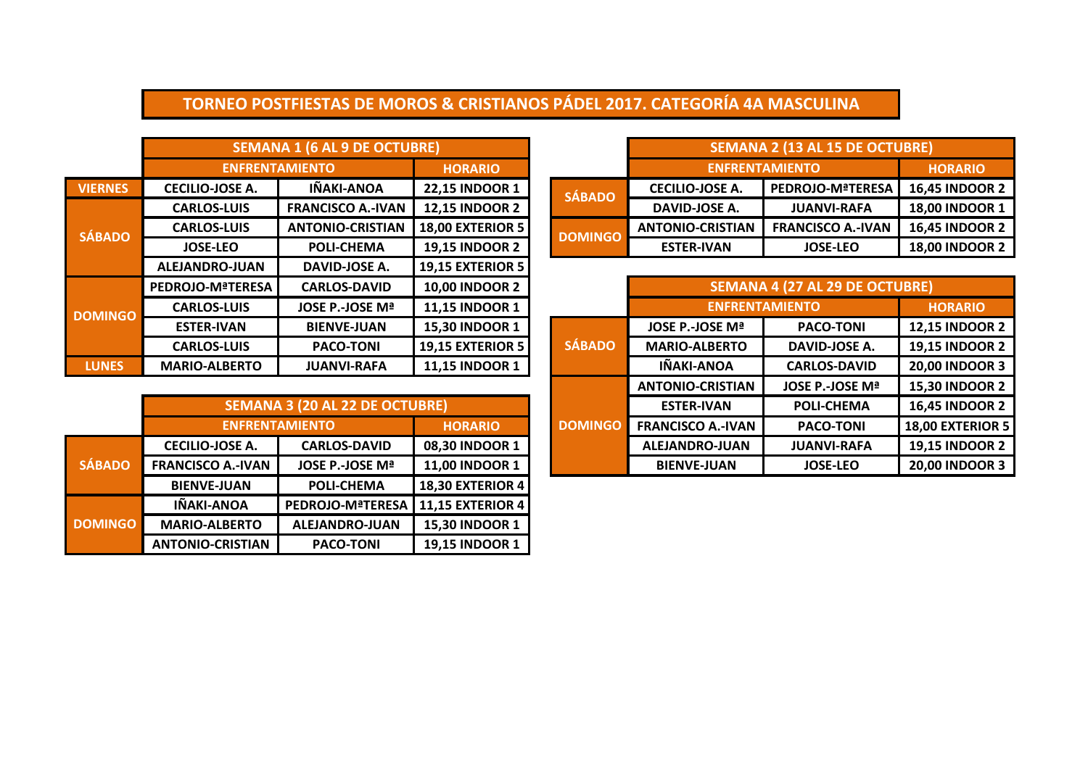# **TORNEO POSTFIESTAS DE MOROS & CRISTIANOS PÁDEL 2017. CATEGORÍA 4A MASCULINA**

|                                      | <b>SEMANA 1 (6 AL 9 DE OCTUBRE)</b> |                         |  |                       | <b>SEMANA 2 (13 AL 15 DE OCTUBRE)</b> |                          |                       |
|--------------------------------------|-------------------------------------|-------------------------|--|-----------------------|---------------------------------------|--------------------------|-----------------------|
| <b>ENFRENTAMIENTO</b>                | <b>HORARIO</b>                      |                         |  | <b>ENFRENTAMIENTO</b> | <b>HORARIO</b>                        |                          |                       |
| ECILIO-JOSE A.                       | IÑAKI-ANOA                          | <b>22,15 INDOOR 1</b>   |  | <b>SÁBADO</b>         | <b>CECILIO-JOSE A.</b>                | <b>PEDROJO-MªTERESA</b>  | <b>16,45 INDOOR 2</b> |
| <b>CARLOS-LUIS</b>                   | <b>FRANCISCO A.-IVAN</b>            | <b>12,15 INDOOR 2</b>   |  |                       | DAVID-JOSE A.                         | <b>JUANVI-RAFA</b>       | <b>18,00 INDOOR 1</b> |
| <b>CARLOS-LUIS</b>                   | <b>ANTONIO-CRISTIAN</b>             | <b>18,00 EXTERIOR 5</b> |  | <b>DOMINGO</b>        | <b>ANTONIO-CRISTIAN</b>               | <b>FRANCISCO A.-IVAN</b> | <b>16,45 INDOOR 2</b> |
| <b>POLI-CHEMA</b><br><b>JOSE-LEO</b> |                                     | <b>19,15 INDOOR 2</b>   |  |                       | <b>ESTER-IVAN</b>                     | <b>JOSE-LEO</b>          | <b>18,00 INDOOR 2</b> |

|               | <b>PEDROJO-MªTERESA</b>  | <b>CARLOS-DAVID</b>            | <b>10,00 INDOOR 2</b>   |                | <b>SEMANA 4 (27 AL 29 DE OCTUBRE)</b> |                       |                       |  |
|---------------|--------------------------|--------------------------------|-------------------------|----------------|---------------------------------------|-----------------------|-----------------------|--|
| <b>ODMING</b> | <b>CARLOS-LUIS</b>       | JOSE P.-JOSE Mª                | <b>11,15 INDOOR 1</b>   |                |                                       | <b>ENFRENTAMIENTO</b> | <b>HORARIO</b>        |  |
|               | <b>ESTER-IVAN</b>        | <b>BIENVE-JUAN</b>             | 15,30 INDOOR 1          |                | JOSE P.-JOSE Mª                       | <b>PACO-TONI</b>      | <b>12,15 INDOOR 2</b> |  |
|               | <b>CARLOS-LUIS</b>       | <b>PACO-TONI</b>               | <b>19,15 EXTERIOR 5</b> | <b>SÁBADO</b>  | <b>MARIO-ALBERTO</b>                  | DAVID-JOSE A.         | <b>19,15 INDOOR 2</b> |  |
| <b>LUNES</b>  | <b>MARIO-ALBERTO</b>     | <b>JUANVI-RAFA</b>             | <b>11,15 INDOOR 1</b>   |                | IÑAKI-ANOA                            | <b>CARLOS-DAVID</b>   | <b>20,00 INDOOR 3</b> |  |
|               |                          |                                |                         |                | <b>ANTONIO-CRISTIAN</b>               | JOSE P.-JOSE Mª       | <b>15,30 INDOOR 2</b> |  |
|               |                          | SEMANA 3 (20 AL 22 DE OCTUBRE) |                         |                | <b>ESTER-IVAN</b>                     | <b>POLI-CHEMA</b>     | <b>16,45 INDOOR 2</b> |  |
|               |                          | <b>ENFRENTAMIENTO</b>          | <b>HORARIO</b>          | <b>DOMINGO</b> | <b>FRANCISCO A.-IVAN</b>              | <b>PACO-TONI</b>      | 18,00 EXTERIOR 5      |  |
|               | <b>CECILIO-JOSE A.</b>   | <b>CARLOS-DAVID</b>            | 08,30 INDOOR 1          |                | ALEJANDRO-JUAN                        | <b>JUANVI-RAFA</b>    | <b>19,15 INDOOR 2</b> |  |
| <b>ÁBADO</b>  | <b>FRANCISCO A.-IVAN</b> | JOSE P.-JOSE Mª                | <b>11,00 INDOOR 1</b>   |                | <b>BIENVE-JUAN</b>                    | <b>JOSE-LEO</b>       | 20,00 INDOOR 3        |  |

|                | <b>SEMANA 1 (6 AL 9 DE OCTUBRE)</b> |                          |                         |  |                | <b>SEMANA 2 (13 AL 15 DE OCTUBRE)</b> |                          |                       |  |
|----------------|-------------------------------------|--------------------------|-------------------------|--|----------------|---------------------------------------|--------------------------|-----------------------|--|
|                |                                     | <b>ENFRENTAMIENTO</b>    | <b>HORARIO</b>          |  |                | <b>ENFRENTAMIENTO</b>                 | <b>HORARIO</b>           |                       |  |
| <b>VIERNES</b> | <b>CECILIO-JOSE A.</b>              | IÑAKI-ANOA               | <b>22,15 INDOOR 1</b>   |  | <b>SÁBADO</b>  | <b>CECILIO-JOSE A.</b>                | PEDROJO-MªTERESA         | <b>16,45 INDOOR 2</b> |  |
|                | <b>CARLOS-LUIS</b>                  | <b>FRANCISCO A.-IVAN</b> | <b>12,15 INDOOR 2</b>   |  |                | DAVID-JOSE A.                         | <b>JUANVI-RAFA</b>       | <b>18,00 INDOOR 1</b> |  |
| <b>SÁBADO</b>  | <b>CARLOS-LUIS</b>                  | <b>ANTONIO-CRISTIAN</b>  | <b>18,00 EXTERIOR 5</b> |  | <b>DOMINGO</b> | <b>ANTONIO-CRISTIAN</b>               | <b>FRANCISCO A.-IVAN</b> | <b>16,45 INDOOR 2</b> |  |
|                | <b>JOSE-LEO</b>                     | <b>POLI-CHEMA</b>        | <b>19,15 INDOOR 2</b>   |  |                | <b>ESTER-IVAN</b>                     | <b>JOSE-LEO</b>          | <b>18,00 INDOOR 2</b> |  |
|                | ALEJANDRO-JUAN                      | DAVID-JOSE A.            | <b>19,15 EXTERIOR 5</b> |  |                |                                       |                          |                       |  |
|                | <b>PEDROJO-MªTERESA</b>             | <b>CARLOS-DAVID</b>      | <b>10,00 INDOOR 2</b>   |  |                | SEMANA 4 (27 AL 29 DE OCTUBRE)        |                          |                       |  |
| <b>DOMINGO</b> | <b>CARLOS-LUIS</b>                  | JOSE P.-JOSE Mª          | 11,15 INDOOR 1          |  |                |                                       | <b>ENFRENTAMIENTO</b>    | <b>HORARIO</b>        |  |
|                | <b>ESTER-IVAN</b>                   | <b>BIENVE-JUAN</b>       | 15,30 INDOOR 1          |  |                | JOSE P.-JOSE Mª                       | <b>PACO-TONI</b>         | <b>12,15 INDOOR 2</b> |  |
|                | <b>CARLOS-LUIS</b>                  | <b>PACO-TONI</b>         | <b>19,15 EXTERIOR 5</b> |  | <b>SÁBADO</b>  | <b>MARIO-ALBERTO</b>                  | DAVID-JOSE A.            | <b>19,15 INDOOR 2</b> |  |
| <b>LUNES</b>   | <b>MARIO-ALBERTO</b>                | <b>JUANVI-RAFA</b>       | 11,15 INDOOR 1          |  |                | IÑAKI-ANOA                            | <b>CARLOS-DAVID</b>      | <b>20,00 INDOOR 3</b> |  |

|                | <b>SEMANA 3 (20 AL 22 DE OCTUBRE)</b> |                       |                         |  |  |  |  |  |  |
|----------------|---------------------------------------|-----------------------|-------------------------|--|--|--|--|--|--|
|                | <b>HORARIO</b>                        |                       |                         |  |  |  |  |  |  |
|                | <b>CECILIO-JOSE A.</b>                | <b>CARLOS-DAVID</b>   | 08,30 INDOOR 1          |  |  |  |  |  |  |
| <b>SÁBADO</b>  | <b>FRANCISCO A.-IVAN</b>              | JOSE P.-JOSE Mª       | 11,00 INDOOR 1          |  |  |  |  |  |  |
|                | <b>BIENVE-JUAN</b>                    | <b>POLI-CHEMA</b>     | 18,30 EXTERIOR 4        |  |  |  |  |  |  |
|                | IÑAKI-ANOA                            | PEDROJO-MªTERESA      | <b>11,15 EXTERIOR 4</b> |  |  |  |  |  |  |
| <b>DOMINGO</b> | <b>MARIO-ALBERTO</b>                  | <b>ALEJANDRO-JUAN</b> | 15,30 INDOOR 1          |  |  |  |  |  |  |
|                | <b>ANTONIO-CRISTIAN</b>               | <b>PACO-TONI</b>      | 19,15 INDOOR 1          |  |  |  |  |  |  |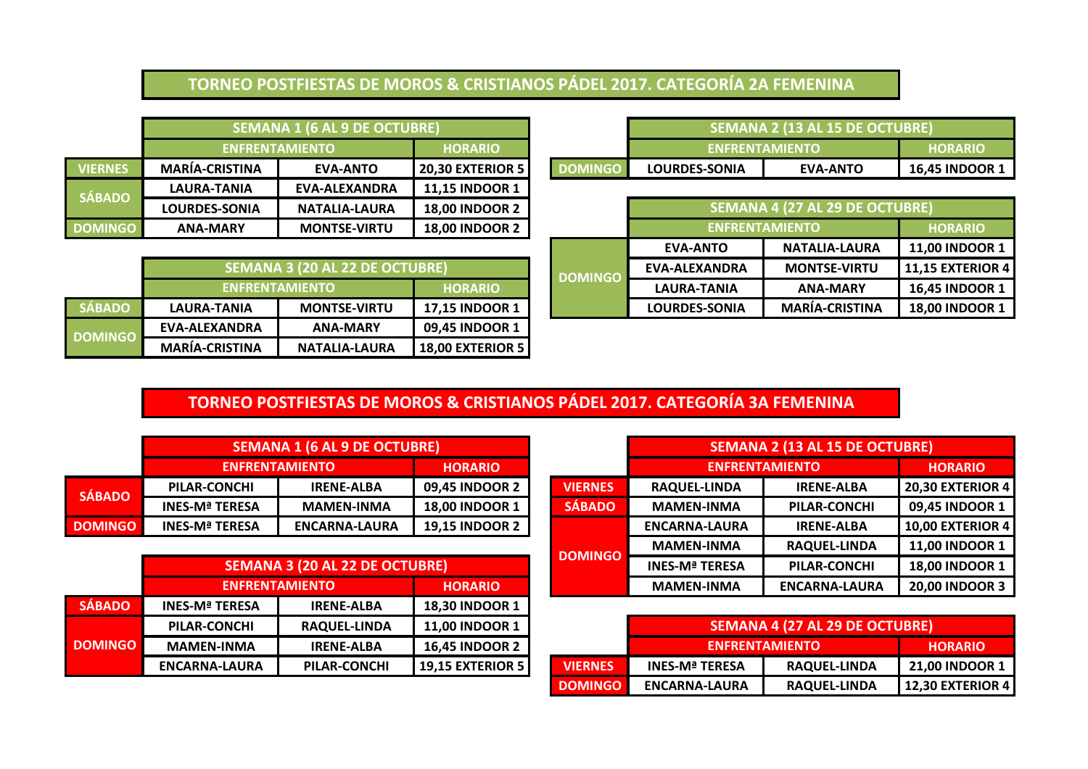#### **TORNEO POSTFIESTAS DE MOROS & CRISTIANOS PÁDEL 2017. CATEGORÍA 2A FEMENINA**

|                |                       | <b>SEMANA 1 (6 AL 9 DE OCTUBRE)</b> |                         |                | <b>SEMANA 2 (13 AL 15 DE OCTUBRE)</b> |                                       |                    |
|----------------|-----------------------|-------------------------------------|-------------------------|----------------|---------------------------------------|---------------------------------------|--------------------|
|                | <b>ENFRENTAMIENTO</b> |                                     | <b>HORARIO</b>          |                | <b>ENFRENTAMIENTO</b>                 |                                       | <b>HORARIO</b>     |
| <b>VIERNES</b> | <b>MARÍA-CRISTINA</b> | <b>EVA-ANTO</b>                     | <b>20,30 EXTERIOR 5</b> | <b>DOMINGO</b> | <b>LOURDES-SONIA</b>                  | <b>EVA-ANTO</b>                       | <b>16,45 INDOO</b> |
| <b>SÁBADO</b>  | LAURA-TANIA           | EVA-ALEXANDRA                       | <b>11,15 INDOOR 1</b>   |                |                                       |                                       |                    |
|                | <b>LOURDES-SONIA</b>  | <b>NATALIA-LAURA</b>                | <b>18.00 INDOOR 2</b>   |                |                                       | <b>SEMANA 4 (27 AL 29 DE OCTUBRE)</b> |                    |
| <b>DOMINGO</b> | <b>ANA-MARY</b>       | <b>MONTSE-VIRTU</b>                 | <b>18,00 INDOOR 2</b>   |                |                                       | <b>ENFRENTAMIENTO</b>                 | <b>HORARIO</b>     |

|                | <b>SEMANA 3 (20 AL 22 DE OCTUBRE)</b> |                      |                         | <b>DOMINGO</b> | EVA-ALEXANDRA        | <b>MONTSE-VIRTU</b>   | $\blacksquare$ 11.15 EXTERIOR $\cdot$ |
|----------------|---------------------------------------|----------------------|-------------------------|----------------|----------------------|-----------------------|---------------------------------------|
|                | <b>ENFRENTAMIENTO</b>                 |                      | <b>HORARIO</b>          |                | LAURA-TANIA          | <b>ANA-MARY</b>       | <b>16.45 INDOOR 1</b>                 |
| SÁBADO         | LAURA-TANIA                           | <b>MONTSE-VIRTU</b>  | <b>17.15 INDOOR 1</b>   |                | <b>LOURDES-SONIA</b> | <b>MARÍA-CRISTINA</b> | <b>18.00 INDOOR 1</b>                 |
| <b>DOMINGO</b> | EVA-ALEXANDRA                         | <b>ANA-MARY</b>      | <b>09.45 INDOOR 1</b>   |                |                      |                       |                                       |
|                | <b>MARIA-CRISTINA</b>                 | <b>NATALIA-LAURA</b> | <b>18,00 EXTERIOR 5</b> |                |                      |                       |                                       |

|         |                                          | SEMANA 1 (6 AL 9 DE OCTUBRE) |                         |               |                        | SEMANA 2 (13 AL 15 DE OCTUBRE) |                       |
|---------|------------------------------------------|------------------------------|-------------------------|---------------|------------------------|--------------------------------|-----------------------|
|         | ENFRENTAMIENTO                           | <b>HORARIO</b>               |                         |               | <b>ENFRENTAMIENTO'</b> | <b>HORARIO</b>                 |                       |
| VIERNES | <b>MARIA-CRISTINA</b><br><b>EVA-ANTO</b> |                              | <b>20,30 EXTERIOR 5</b> | <b>DMINGO</b> | <b>LOURDES-SONIA</b>   | <b>EVA-ANTO</b>                | <b>16.45 INDOOR 1</b> |

| <b>00 INDOOR 2</b> |                | SEMANA 4 (27 AL 29 DE OCTUBRE) |                       |                         |  |  |  |
|--------------------|----------------|--------------------------------|-----------------------|-------------------------|--|--|--|
| <b>00 INDOOR 2</b> |                | <b>ENFRENTAMIENTO</b>          | <b>HORARIO</b>        |                         |  |  |  |
|                    |                | <b>EVA-ANTO</b>                | <b>NATALIA-LAURA</b>  | <b>11,00 INDOOR 1</b>   |  |  |  |
|                    | <b>DOMINGO</b> | <b>EVA-ALEXANDRA</b>           | <b>MONTSE-VIRTU</b>   | <b>11,15 EXTERIOR 4</b> |  |  |  |
| <b>HORARIO</b>     |                | <b>LAURA-TANIA</b>             | <b>ANA-MARY</b>       | <b>16,45 INDOOR 1</b>   |  |  |  |
| <b>15 INDOOR 1</b> |                | <b>LOURDES-SONIA</b>           | <b>MARÍA-CRISTINA</b> | <b>18,00 INDOOR 1</b>   |  |  |  |

## **TORNEO POSTFIESTAS DE MOROS & CRISTIANOS PÁDEL 2017. CATEGORÍA 3A FEMENINA**

|                |                       | <b>SEMANA 1 (6 AL 9 DE OCTUBRE)</b> |                       |  | <b>SEMANA 2 (13 AI</b> |                       |              |
|----------------|-----------------------|-------------------------------------|-----------------------|--|------------------------|-----------------------|--------------|
|                | <b>ENFRENTAMIENTO</b> |                                     | <b>HORARIO</b>        |  |                        | <b>ENFRENTAMIENTO</b> |              |
| <b>SÁBADO</b>  | PILAR-CONCHI          | <b>IRENE-ALBA</b>                   | <b>09.45 INDOOR 2</b> |  | <b>VIERNES</b>         | <b>RAQUEL-LINDA</b>   | <b>IREN</b>  |
|                | <b>INES-Mª TERESA</b> | <b>MAMEN-INMA</b>                   | <b>18,00 INDOOR 1</b> |  | <b>SÁBADO</b>          | <b>MAMEN-INMA</b>     | <b>PILAF</b> |
| <b>DOMINGO</b> | <b>INES-Mª TERESA</b> | <b>ENCARNA-LAURA</b>                | <b>19,15 INDOOR 2</b> |  |                        | <b>ENCARNA-LAURA</b>  | <b>IREN</b>  |

|                |                       |                                                                | <b>DOMINGO</b>          |                |
|----------------|-----------------------|----------------------------------------------------------------|-------------------------|----------------|
|                |                       | <b>SEMANA 3 (20 AL 22 DE OCTUBRE)</b><br><b>ENFRENTAMIENTO</b> | <b>HORARIO</b>          |                |
| <b>SÁBADO</b>  | <b>INES-Mª TERESA</b> | <b>IRENE-ALBA</b>                                              | 18,30 INDOOR 1          |                |
| <b>DOMINGO</b> | PILAR-CONCHI          | <b>RAQUEL-LINDA</b>                                            | 11,00 INDOOR 1          |                |
|                | <b>MAMEN-INMA</b>     | <b>IRENE-ALBA</b>                                              | <b>16,45 INDOOR 2</b>   |                |
|                | <b>ENCARNA-LAURA</b>  | PILAR-CONCHI                                                   | <b>19,15 EXTERIOR 5</b> | <b>VIERNES</b> |
|                |                       |                                                                |                         |                |

|                | <b>SEMANA 1 (6 AL 9 DE OCTUBRE)</b>   |                      |                       |                | <b>SEMANA 2 (13 AL 15 DE OCTUBRE)</b> |                      |                         |
|----------------|---------------------------------------|----------------------|-----------------------|----------------|---------------------------------------|----------------------|-------------------------|
|                | <b>ENFRENTAMIENTO</b>                 |                      | <b>HORARIO</b>        |                | <b>ENFRENTAMIENTO</b>                 |                      | <b>HORARIO</b>          |
| <b>SÁBADO</b>  | PILAR-CONCHI                          | <b>IRENE-ALBA</b>    | <b>09,45 INDOOR 2</b> | <b>VIERNES</b> | <b>RAQUEL-LINDA</b>                   | <b>IRENE-ALBA</b>    | <b>20,30 EXTERIOR 4</b> |
|                | <b>INES-Mª TERESA</b>                 | <b>MAMEN-INMA</b>    | <b>18,00 INDOOR 1</b> | <b>SÁBADO</b>  | <b>MAMEN-INMA</b>                     | PILAR-CONCHI         | 09,45 INDOOR 1          |
| <b>DOMINGO</b> | <b>INES-Mª TERESA</b>                 | <b>ENCARNA-LAURA</b> | <b>19,15 INDOOR 2</b> |                | <b>ENCARNA-LAURA</b>                  | <b>IRENE-ALBA</b>    | <b>10,00 EXTERIOR 4</b> |
|                |                                       |                      |                       | DOMINGO        | <b>MAMEN-INMA</b>                     | <b>RAQUEL-LINDA</b>  | <b>11,00 INDOOR 1</b>   |
|                | <b>SEMANA 3 (20 AL 22 DE OCTUBRE)</b> |                      |                       |                | <b>INES-Mª TERESA</b>                 | PILAR-CONCHI         | <b>18,00 INDOOR 1</b>   |
|                | <b>ENFRENTAMIENTO</b>                 |                      | <b>HORARIO</b>        |                | <b>MAMEN-INMA</b>                     | <b>ENCARNA-LAURA</b> | <b>20,00 INDOOR 3</b>   |

| PILAR-CONCHI      | <b>RAQUEL-LINDA</b> | <b>11.00 INDOOR 1</b>     |                | SEMANA 4 (27 AL 29 DE OCTUBRE)        |                     |                       |  |
|-------------------|---------------------|---------------------------|----------------|---------------------------------------|---------------------|-----------------------|--|
| <b>MAMEN-INMA</b> | <b>IRENE-ALBA</b>   | <b>16.45 INDOOR 2</b>     |                | <b>LENFRENTAMIENTO</b>                |                     | <b>HORARIO</b>        |  |
| ENCARNA-LAURA     | PILAR-CONCHI        | 19,15 EXTERIOR 5 <b> </b> | <b>VIERNES</b> | INES-Mª TERESA<br><b>RAQUEL-LINDA</b> |                     | <b>21.00 INDOOR 1</b> |  |
|                   |                     |                           | <b>DOMINGO</b> | <b>ENCARNA-LAURA</b>                  | <b>RAQUEL-LINDA</b> | 12.30 EXTERIOR 4      |  |